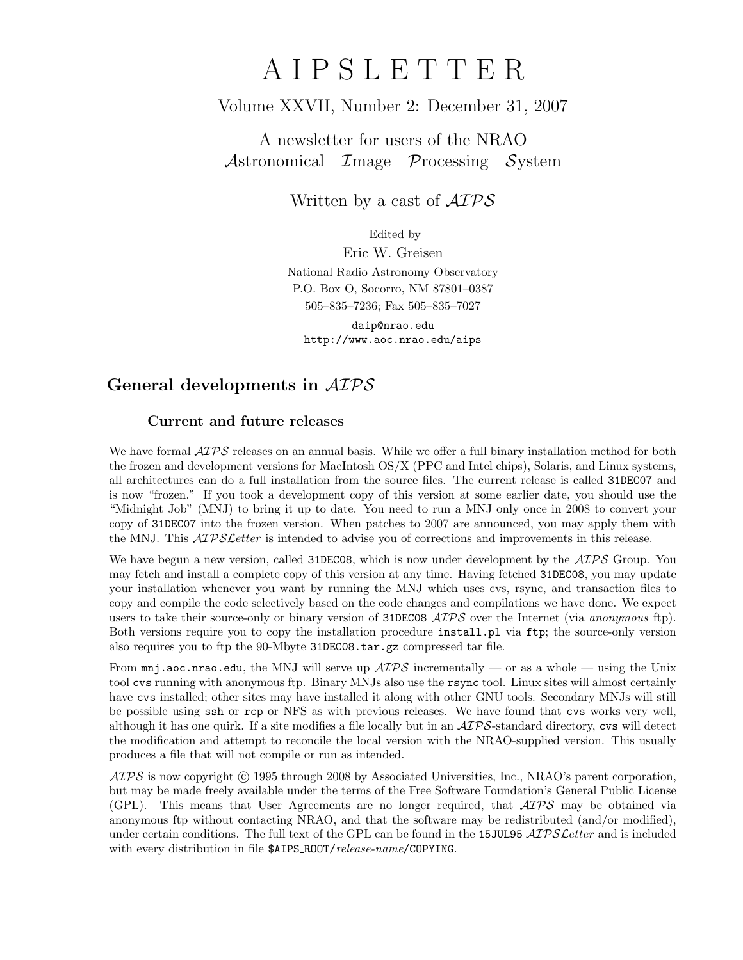# A I P S L E T T E R

# Volume XXVII, Number 2: December 31, 2007

A newsletter for users of the NRAO Astronomical Image Processing System

Written by a cast of  $\mathcal{AIPS}$ 

Edited by

Eric W. Greisen National Radio Astronomy Observatory P.O. Box O, Socorro, NM 87801–0387 505–835–7236; Fax 505–835–7027

daip@nrao.edu http://www.aoc.nrao.edu/aips

# General developments in AIPS

## Current and future releases

We have formal  $\mathcal{ATPS}$  releases on an annual basis. While we offer a full binary installation method for both the frozen and development versions for MacIntosh OS/X (PPC and Intel chips), Solaris, and Linux systems, all architectures can do a full installation from the source files. The current release is called 31DEC07 and is now "frozen." If you took a development copy of this version at some earlier date, you should use the "Midnight Job" (MNJ) to bring it up to date. You need to run a MNJ only once in 2008 to convert your copy of 31DEC07 into the frozen version. When patches to 2007 are announced, you may apply them with the MNJ. This  $\mathcal{ATPSL}$ etter is intended to advise you of corrections and improvements in this release.

We have begun a new version, called 31DEC08, which is now under development by the  $\mathcal{ATPS}$  Group. You may fetch and install a complete copy of this version at any time. Having fetched 31DEC08, you may update your installation whenever you want by running the MNJ which uses cvs, rsync, and transaction files to copy and compile the code selectively based on the code changes and compilations we have done. We expect users to take their source-only or binary version of 31DEC08  $\mathcal{AIPS}$  over the Internet (via anonymous ftp). Both versions require you to copy the installation procedure install.pl via ftp; the source-only version also requires you to ftp the 90-Mbyte 31DEC08.tar.gz compressed tar file.

From  $\text{mni}$ , aoc.nrao.edu, the MNJ will serve up  $\mathcal{AIPS}$  incrementally — or as a whole — using the Unix tool cvs running with anonymous ftp. Binary MNJs also use the rsync tool. Linux sites will almost certainly have cvs installed; other sites may have installed it along with other GNU tools. Secondary MNJs will still be possible using ssh or rcp or NFS as with previous releases. We have found that cvs works very well, although it has one quirk. If a site modifies a file locally but in an  $\mathcal{AIPS}\text{-}standard$  directory, cvs will detect the modification and attempt to reconcile the local version with the NRAO-supplied version. This usually produces a file that will not compile or run as intended.

 $\mathcal{AIPS}$  is now copyright (c) 1995 through 2008 by Associated Universities, Inc., NRAO's parent corporation, but may be made freely available under the terms of the Free Software Foundation's General Public License (GPL). This means that User Agreements are no longer required, that  $\mathcal{AIPS}$  may be obtained via anonymous ftp without contacting NRAO, and that the software may be redistributed (and/or modified), under certain conditions. The full text of the GPL can be found in the 15JUL95 AIPS Letter and is included with every distribution in file \$AIPS\_ROOT/release-name/COPYING.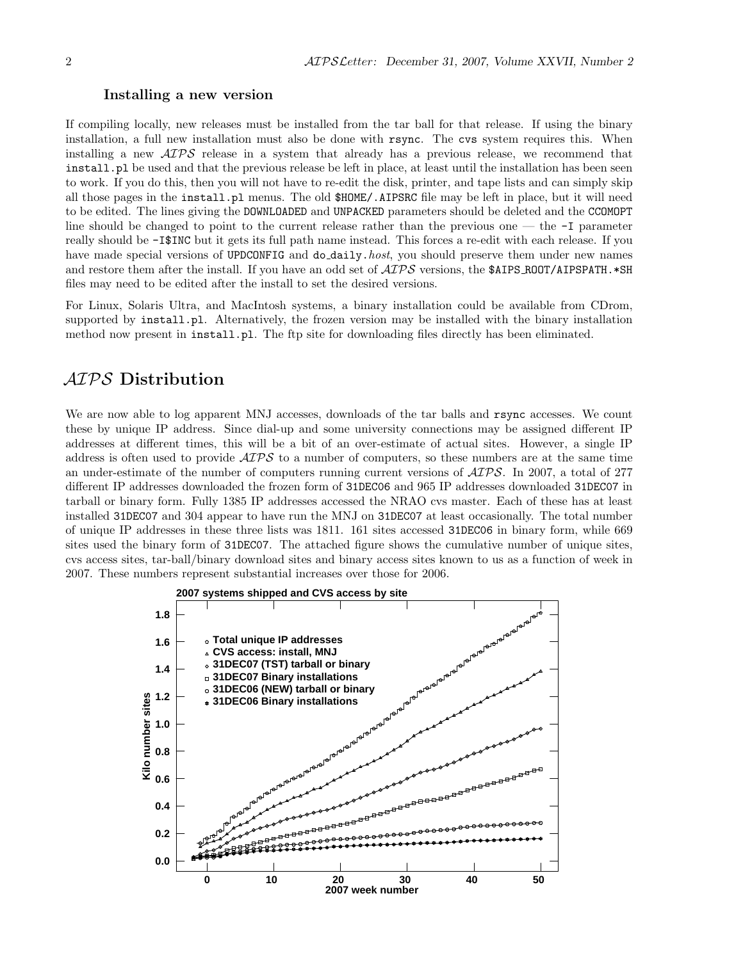#### Installing a new version

If compiling locally, new releases must be installed from the tar ball for that release. If using the binary installation, a full new installation must also be done with rsync. The cvs system requires this. When installing a new  $\mathcal{A} \mathcal{I} \mathcal{P} \mathcal{S}$  release in a system that already has a previous release, we recommend that install.pl be used and that the previous release be left in place, at least until the installation has been seen to work. If you do this, then you will not have to re-edit the disk, printer, and tape lists and can simply skip all those pages in the install.pl menus. The old \$HOME/.AIPSRC file may be left in place, but it will need to be edited. The lines giving the DOWNLOADED and UNPACKED parameters should be deleted and the CCOMOPT line should be changed to point to the current release rather than the previous one — the -I parameter really should be -I\$INC but it gets its full path name instead. This forces a re-edit with each release. If you have made special versions of UPDCONFIG and do\_daily.host, you should preserve them under new names and restore them after the install. If you have an odd set of  $\mathcal{AIPS}$  versions, the \$AIPS ROOT/AIPSPATH. \*SH files may need to be edited after the install to set the desired versions.

For Linux, Solaris Ultra, and MacIntosh systems, a binary installation could be available from CDrom, supported by install.pl. Alternatively, the frozen version may be installed with the binary installation method now present in install.pl. The ftp site for downloading files directly has been eliminated.

# AIPS Distribution

We are now able to log apparent MNJ accesses, downloads of the tar balls and rsync accesses. We count these by unique IP address. Since dial-up and some university connections may be assigned different IP addresses at different times, this will be a bit of an over-estimate of actual sites. However, a single IP address is often used to provide  $\mathcal{A} \mathcal{I} \mathcal{P} \mathcal{S}$  to a number of computers, so these numbers are at the same time an under-estimate of the number of computers running current versions of AIPS. In 2007, a total of 277 different IP addresses downloaded the frozen form of 31DEC06 and 965 IP addresses downloaded 31DEC07 in tarball or binary form. Fully 1385 IP addresses accessed the NRAO cvs master. Each of these has at least installed 31DEC07 and 304 appear to have run the MNJ on 31DEC07 at least occasionally. The total number of unique IP addresses in these three lists was 1811. 161 sites accessed 31DEC06 in binary form, while 669 sites used the binary form of 31DEC07. The attached figure shows the cumulative number of unique sites, cvs access sites, tar-ball/binary download sites and binary access sites known to us as a function of week in 2007. These numbers represent substantial increases over those for 2006.

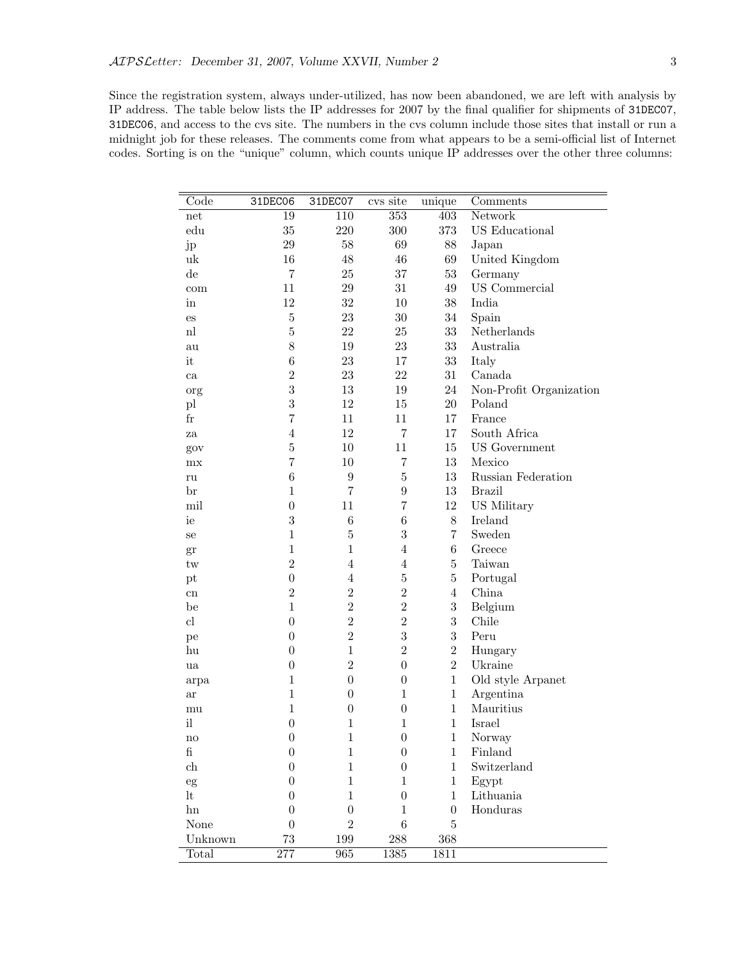Since the registration system, always under-utilized, has now been abandoned, we are left with analysis by IP address. The table below lists the IP addresses for 2007 by the final qualifier for shipments of 31DEC07, 31DEC06, and access to the cvs site. The numbers in the cvs column include those sites that install or run a midnight job for these releases. The comments come from what appears to be a semi-official list of Internet codes. Sorting is on the "unique" column, which counts unique IP addresses over the other three columns:

| 110<br>$\overline{353}$<br>403<br>Network<br>19<br>net<br>$35\,$<br>$220\,$<br>$300\,$<br>373<br>US Educational<br>$_{\rm edu}$<br>$\,29$<br>$58\,$<br>69<br>88<br>Japan<br>jp<br>16<br>48<br>69<br>46<br>United Kingdom<br>uk<br>de<br>$\overline{7}$<br>25<br>37<br>$53\,$<br>Germany<br>11<br>$\,29$<br>31<br>49<br>US Commercial<br>com<br>12<br>$32\,$<br>10<br>$38\,$<br>India<br>in<br>$\overline{5}$<br>23<br>$30\,$<br>$34\,$<br>Spain<br>$\mathop{\mathrm{es}}$<br>$\overline{5}$<br>22<br>25<br>$33\,$<br>Netherlands<br>n<br>8<br>19<br>$23\,$<br>$33\,$<br>Australia<br>au<br>$\,6$<br>23<br>it<br>17<br>$33\,$<br>Italy<br>$\sqrt{2}$<br>$31\,$<br>$23\,$<br>$22\,$<br>Canada<br>ca<br>3<br>13<br>$19\,$<br>$24\,$<br>Non-Profit Organization<br>org<br>3<br>12<br>$15\,$<br>20<br>Poland<br>$\mathbf{p}$<br>$\overline{7}$<br>$_{\rm fr}$<br>11<br>11<br>17<br>France<br>12<br>$\overline{4}$<br>$\overline{7}$<br>17<br>South Africa<br>za<br>$\overline{5}$<br>10<br>11<br>15<br><b>US</b> Government<br>gov<br>$\overline{7}$<br>10<br>$\overline{7}$<br>13<br>Mexico<br>mx<br>$\bf 5$<br>$\,6$<br>$\boldsymbol{9}$<br>13<br>Russian Federation<br>ru<br>13<br>$\mathbf{1}$<br>7<br>$\boldsymbol{9}$<br><b>Brazil</b><br>$_{\rm br}$<br>mil<br>$\boldsymbol{0}$<br>11<br>$\overline{7}$<br>12<br>US Military<br>$\sqrt{3}$<br>$\boldsymbol{6}$<br>$\,6$<br>$8\,$<br>Ireland<br>ie<br>$\mathbf{1}$<br>$\sqrt{3}$<br>$\overline{5}$<br>$\overline{7}$<br>Sweden<br>se<br>$\mathbf{1}$<br>$\mathbf 1$<br>$\overline{4}$<br>$\,6$<br>Greece<br>gr<br>$\overline{2}$<br>$\overline{4}$<br>$\overline{4}$<br>$\bf 5$<br>Taiwan<br>tw<br>$\bf 5$<br>$\boldsymbol{0}$<br>$\overline{4}$<br>$\bf 5$<br>Portugal<br>pt<br>$\overline{2}$<br>$\overline{2}$<br>$\overline{2}$<br>$\overline{4}$<br>China<br>cn<br>$\overline{2}$<br>$\mathbf{1}$<br>$\sqrt{2}$<br>$\sqrt{3}$<br>Belgium<br>be<br>$\overline{2}$<br>3<br>$\overline{2}$<br>cl<br>$\boldsymbol{0}$<br>Chile<br>$\overline{2}$<br>$\boldsymbol{3}$<br>3<br>$\boldsymbol{0}$<br>Peru<br>pe<br>$\overline{2}$<br>$\mathbf{1}$<br>$\overline{2}$<br>$\boldsymbol{0}$<br>hu<br>Hungary<br>$\overline{2}$<br>$\overline{2}$<br>$\boldsymbol{0}$<br>Ukraine<br>$\boldsymbol{0}$<br>ua<br>$\mathbf 1$<br>$\mathbf{1}$<br>$\boldsymbol{0}$<br>$\boldsymbol{0}$<br>Old style Arpanet<br>arpa<br>$\mathbf{1}$<br>$\mathbf{1}$<br>$\boldsymbol{0}$<br>$\mathbf{1}$<br>Argentina<br>ar<br>$\mathbf{1}$<br>$\mathbf{1}$<br>Mauritius<br>$\boldsymbol{0}$<br>$\boldsymbol{0}$<br>mu |
|-------------------------------------------------------------------------------------------------------------------------------------------------------------------------------------------------------------------------------------------------------------------------------------------------------------------------------------------------------------------------------------------------------------------------------------------------------------------------------------------------------------------------------------------------------------------------------------------------------------------------------------------------------------------------------------------------------------------------------------------------------------------------------------------------------------------------------------------------------------------------------------------------------------------------------------------------------------------------------------------------------------------------------------------------------------------------------------------------------------------------------------------------------------------------------------------------------------------------------------------------------------------------------------------------------------------------------------------------------------------------------------------------------------------------------------------------------------------------------------------------------------------------------------------------------------------------------------------------------------------------------------------------------------------------------------------------------------------------------------------------------------------------------------------------------------------------------------------------------------------------------------------------------------------------------------------------------------------------------------------------------------------------------------------------------------------------------------------------------------------------------------------------------------------------------------------------------------------------------------------------------------------------------------------------------------------------------------------------------------------------------------------------------------------------------------------------------------------------------------------------------------------------------------------|
|                                                                                                                                                                                                                                                                                                                                                                                                                                                                                                                                                                                                                                                                                                                                                                                                                                                                                                                                                                                                                                                                                                                                                                                                                                                                                                                                                                                                                                                                                                                                                                                                                                                                                                                                                                                                                                                                                                                                                                                                                                                                                                                                                                                                                                                                                                                                                                                                                                                                                                                                           |
|                                                                                                                                                                                                                                                                                                                                                                                                                                                                                                                                                                                                                                                                                                                                                                                                                                                                                                                                                                                                                                                                                                                                                                                                                                                                                                                                                                                                                                                                                                                                                                                                                                                                                                                                                                                                                                                                                                                                                                                                                                                                                                                                                                                                                                                                                                                                                                                                                                                                                                                                           |
|                                                                                                                                                                                                                                                                                                                                                                                                                                                                                                                                                                                                                                                                                                                                                                                                                                                                                                                                                                                                                                                                                                                                                                                                                                                                                                                                                                                                                                                                                                                                                                                                                                                                                                                                                                                                                                                                                                                                                                                                                                                                                                                                                                                                                                                                                                                                                                                                                                                                                                                                           |
|                                                                                                                                                                                                                                                                                                                                                                                                                                                                                                                                                                                                                                                                                                                                                                                                                                                                                                                                                                                                                                                                                                                                                                                                                                                                                                                                                                                                                                                                                                                                                                                                                                                                                                                                                                                                                                                                                                                                                                                                                                                                                                                                                                                                                                                                                                                                                                                                                                                                                                                                           |
|                                                                                                                                                                                                                                                                                                                                                                                                                                                                                                                                                                                                                                                                                                                                                                                                                                                                                                                                                                                                                                                                                                                                                                                                                                                                                                                                                                                                                                                                                                                                                                                                                                                                                                                                                                                                                                                                                                                                                                                                                                                                                                                                                                                                                                                                                                                                                                                                                                                                                                                                           |
|                                                                                                                                                                                                                                                                                                                                                                                                                                                                                                                                                                                                                                                                                                                                                                                                                                                                                                                                                                                                                                                                                                                                                                                                                                                                                                                                                                                                                                                                                                                                                                                                                                                                                                                                                                                                                                                                                                                                                                                                                                                                                                                                                                                                                                                                                                                                                                                                                                                                                                                                           |
|                                                                                                                                                                                                                                                                                                                                                                                                                                                                                                                                                                                                                                                                                                                                                                                                                                                                                                                                                                                                                                                                                                                                                                                                                                                                                                                                                                                                                                                                                                                                                                                                                                                                                                                                                                                                                                                                                                                                                                                                                                                                                                                                                                                                                                                                                                                                                                                                                                                                                                                                           |
|                                                                                                                                                                                                                                                                                                                                                                                                                                                                                                                                                                                                                                                                                                                                                                                                                                                                                                                                                                                                                                                                                                                                                                                                                                                                                                                                                                                                                                                                                                                                                                                                                                                                                                                                                                                                                                                                                                                                                                                                                                                                                                                                                                                                                                                                                                                                                                                                                                                                                                                                           |
|                                                                                                                                                                                                                                                                                                                                                                                                                                                                                                                                                                                                                                                                                                                                                                                                                                                                                                                                                                                                                                                                                                                                                                                                                                                                                                                                                                                                                                                                                                                                                                                                                                                                                                                                                                                                                                                                                                                                                                                                                                                                                                                                                                                                                                                                                                                                                                                                                                                                                                                                           |
|                                                                                                                                                                                                                                                                                                                                                                                                                                                                                                                                                                                                                                                                                                                                                                                                                                                                                                                                                                                                                                                                                                                                                                                                                                                                                                                                                                                                                                                                                                                                                                                                                                                                                                                                                                                                                                                                                                                                                                                                                                                                                                                                                                                                                                                                                                                                                                                                                                                                                                                                           |
|                                                                                                                                                                                                                                                                                                                                                                                                                                                                                                                                                                                                                                                                                                                                                                                                                                                                                                                                                                                                                                                                                                                                                                                                                                                                                                                                                                                                                                                                                                                                                                                                                                                                                                                                                                                                                                                                                                                                                                                                                                                                                                                                                                                                                                                                                                                                                                                                                                                                                                                                           |
|                                                                                                                                                                                                                                                                                                                                                                                                                                                                                                                                                                                                                                                                                                                                                                                                                                                                                                                                                                                                                                                                                                                                                                                                                                                                                                                                                                                                                                                                                                                                                                                                                                                                                                                                                                                                                                                                                                                                                                                                                                                                                                                                                                                                                                                                                                                                                                                                                                                                                                                                           |
|                                                                                                                                                                                                                                                                                                                                                                                                                                                                                                                                                                                                                                                                                                                                                                                                                                                                                                                                                                                                                                                                                                                                                                                                                                                                                                                                                                                                                                                                                                                                                                                                                                                                                                                                                                                                                                                                                                                                                                                                                                                                                                                                                                                                                                                                                                                                                                                                                                                                                                                                           |
|                                                                                                                                                                                                                                                                                                                                                                                                                                                                                                                                                                                                                                                                                                                                                                                                                                                                                                                                                                                                                                                                                                                                                                                                                                                                                                                                                                                                                                                                                                                                                                                                                                                                                                                                                                                                                                                                                                                                                                                                                                                                                                                                                                                                                                                                                                                                                                                                                                                                                                                                           |
|                                                                                                                                                                                                                                                                                                                                                                                                                                                                                                                                                                                                                                                                                                                                                                                                                                                                                                                                                                                                                                                                                                                                                                                                                                                                                                                                                                                                                                                                                                                                                                                                                                                                                                                                                                                                                                                                                                                                                                                                                                                                                                                                                                                                                                                                                                                                                                                                                                                                                                                                           |
|                                                                                                                                                                                                                                                                                                                                                                                                                                                                                                                                                                                                                                                                                                                                                                                                                                                                                                                                                                                                                                                                                                                                                                                                                                                                                                                                                                                                                                                                                                                                                                                                                                                                                                                                                                                                                                                                                                                                                                                                                                                                                                                                                                                                                                                                                                                                                                                                                                                                                                                                           |
|                                                                                                                                                                                                                                                                                                                                                                                                                                                                                                                                                                                                                                                                                                                                                                                                                                                                                                                                                                                                                                                                                                                                                                                                                                                                                                                                                                                                                                                                                                                                                                                                                                                                                                                                                                                                                                                                                                                                                                                                                                                                                                                                                                                                                                                                                                                                                                                                                                                                                                                                           |
|                                                                                                                                                                                                                                                                                                                                                                                                                                                                                                                                                                                                                                                                                                                                                                                                                                                                                                                                                                                                                                                                                                                                                                                                                                                                                                                                                                                                                                                                                                                                                                                                                                                                                                                                                                                                                                                                                                                                                                                                                                                                                                                                                                                                                                                                                                                                                                                                                                                                                                                                           |
|                                                                                                                                                                                                                                                                                                                                                                                                                                                                                                                                                                                                                                                                                                                                                                                                                                                                                                                                                                                                                                                                                                                                                                                                                                                                                                                                                                                                                                                                                                                                                                                                                                                                                                                                                                                                                                                                                                                                                                                                                                                                                                                                                                                                                                                                                                                                                                                                                                                                                                                                           |
|                                                                                                                                                                                                                                                                                                                                                                                                                                                                                                                                                                                                                                                                                                                                                                                                                                                                                                                                                                                                                                                                                                                                                                                                                                                                                                                                                                                                                                                                                                                                                                                                                                                                                                                                                                                                                                                                                                                                                                                                                                                                                                                                                                                                                                                                                                                                                                                                                                                                                                                                           |
|                                                                                                                                                                                                                                                                                                                                                                                                                                                                                                                                                                                                                                                                                                                                                                                                                                                                                                                                                                                                                                                                                                                                                                                                                                                                                                                                                                                                                                                                                                                                                                                                                                                                                                                                                                                                                                                                                                                                                                                                                                                                                                                                                                                                                                                                                                                                                                                                                                                                                                                                           |
|                                                                                                                                                                                                                                                                                                                                                                                                                                                                                                                                                                                                                                                                                                                                                                                                                                                                                                                                                                                                                                                                                                                                                                                                                                                                                                                                                                                                                                                                                                                                                                                                                                                                                                                                                                                                                                                                                                                                                                                                                                                                                                                                                                                                                                                                                                                                                                                                                                                                                                                                           |
|                                                                                                                                                                                                                                                                                                                                                                                                                                                                                                                                                                                                                                                                                                                                                                                                                                                                                                                                                                                                                                                                                                                                                                                                                                                                                                                                                                                                                                                                                                                                                                                                                                                                                                                                                                                                                                                                                                                                                                                                                                                                                                                                                                                                                                                                                                                                                                                                                                                                                                                                           |
|                                                                                                                                                                                                                                                                                                                                                                                                                                                                                                                                                                                                                                                                                                                                                                                                                                                                                                                                                                                                                                                                                                                                                                                                                                                                                                                                                                                                                                                                                                                                                                                                                                                                                                                                                                                                                                                                                                                                                                                                                                                                                                                                                                                                                                                                                                                                                                                                                                                                                                                                           |
|                                                                                                                                                                                                                                                                                                                                                                                                                                                                                                                                                                                                                                                                                                                                                                                                                                                                                                                                                                                                                                                                                                                                                                                                                                                                                                                                                                                                                                                                                                                                                                                                                                                                                                                                                                                                                                                                                                                                                                                                                                                                                                                                                                                                                                                                                                                                                                                                                                                                                                                                           |
|                                                                                                                                                                                                                                                                                                                                                                                                                                                                                                                                                                                                                                                                                                                                                                                                                                                                                                                                                                                                                                                                                                                                                                                                                                                                                                                                                                                                                                                                                                                                                                                                                                                                                                                                                                                                                                                                                                                                                                                                                                                                                                                                                                                                                                                                                                                                                                                                                                                                                                                                           |
|                                                                                                                                                                                                                                                                                                                                                                                                                                                                                                                                                                                                                                                                                                                                                                                                                                                                                                                                                                                                                                                                                                                                                                                                                                                                                                                                                                                                                                                                                                                                                                                                                                                                                                                                                                                                                                                                                                                                                                                                                                                                                                                                                                                                                                                                                                                                                                                                                                                                                                                                           |
|                                                                                                                                                                                                                                                                                                                                                                                                                                                                                                                                                                                                                                                                                                                                                                                                                                                                                                                                                                                                                                                                                                                                                                                                                                                                                                                                                                                                                                                                                                                                                                                                                                                                                                                                                                                                                                                                                                                                                                                                                                                                                                                                                                                                                                                                                                                                                                                                                                                                                                                                           |
|                                                                                                                                                                                                                                                                                                                                                                                                                                                                                                                                                                                                                                                                                                                                                                                                                                                                                                                                                                                                                                                                                                                                                                                                                                                                                                                                                                                                                                                                                                                                                                                                                                                                                                                                                                                                                                                                                                                                                                                                                                                                                                                                                                                                                                                                                                                                                                                                                                                                                                                                           |
|                                                                                                                                                                                                                                                                                                                                                                                                                                                                                                                                                                                                                                                                                                                                                                                                                                                                                                                                                                                                                                                                                                                                                                                                                                                                                                                                                                                                                                                                                                                                                                                                                                                                                                                                                                                                                                                                                                                                                                                                                                                                                                                                                                                                                                                                                                                                                                                                                                                                                                                                           |
|                                                                                                                                                                                                                                                                                                                                                                                                                                                                                                                                                                                                                                                                                                                                                                                                                                                                                                                                                                                                                                                                                                                                                                                                                                                                                                                                                                                                                                                                                                                                                                                                                                                                                                                                                                                                                                                                                                                                                                                                                                                                                                                                                                                                                                                                                                                                                                                                                                                                                                                                           |
|                                                                                                                                                                                                                                                                                                                                                                                                                                                                                                                                                                                                                                                                                                                                                                                                                                                                                                                                                                                                                                                                                                                                                                                                                                                                                                                                                                                                                                                                                                                                                                                                                                                                                                                                                                                                                                                                                                                                                                                                                                                                                                                                                                                                                                                                                                                                                                                                                                                                                                                                           |
|                                                                                                                                                                                                                                                                                                                                                                                                                                                                                                                                                                                                                                                                                                                                                                                                                                                                                                                                                                                                                                                                                                                                                                                                                                                                                                                                                                                                                                                                                                                                                                                                                                                                                                                                                                                                                                                                                                                                                                                                                                                                                                                                                                                                                                                                                                                                                                                                                                                                                                                                           |
|                                                                                                                                                                                                                                                                                                                                                                                                                                                                                                                                                                                                                                                                                                                                                                                                                                                                                                                                                                                                                                                                                                                                                                                                                                                                                                                                                                                                                                                                                                                                                                                                                                                                                                                                                                                                                                                                                                                                                                                                                                                                                                                                                                                                                                                                                                                                                                                                                                                                                                                                           |
|                                                                                                                                                                                                                                                                                                                                                                                                                                                                                                                                                                                                                                                                                                                                                                                                                                                                                                                                                                                                                                                                                                                                                                                                                                                                                                                                                                                                                                                                                                                                                                                                                                                                                                                                                                                                                                                                                                                                                                                                                                                                                                                                                                                                                                                                                                                                                                                                                                                                                                                                           |
| i<br>$\boldsymbol{0}$<br>$\mathbf{1}$<br>$\mathbf{1}$<br>$\mathbf{1}$<br>Israel                                                                                                                                                                                                                                                                                                                                                                                                                                                                                                                                                                                                                                                                                                                                                                                                                                                                                                                                                                                                                                                                                                                                                                                                                                                                                                                                                                                                                                                                                                                                                                                                                                                                                                                                                                                                                                                                                                                                                                                                                                                                                                                                                                                                                                                                                                                                                                                                                                                           |
| $\boldsymbol{0}$<br>$\mathbf{1}$<br>$\boldsymbol{0}$<br>$\mathbf{1}$<br>Norway<br>nо                                                                                                                                                                                                                                                                                                                                                                                                                                                                                                                                                                                                                                                                                                                                                                                                                                                                                                                                                                                                                                                                                                                                                                                                                                                                                                                                                                                                                                                                                                                                                                                                                                                                                                                                                                                                                                                                                                                                                                                                                                                                                                                                                                                                                                                                                                                                                                                                                                                      |
| $\mathbf{f}$<br>$\boldsymbol{0}$<br>$\mathbf 1$<br>$\boldsymbol{0}$<br>$\mathbf{1}$<br>Finland                                                                                                                                                                                                                                                                                                                                                                                                                                                                                                                                                                                                                                                                                                                                                                                                                                                                                                                                                                                                                                                                                                                                                                                                                                                                                                                                                                                                                                                                                                                                                                                                                                                                                                                                                                                                                                                                                                                                                                                                                                                                                                                                                                                                                                                                                                                                                                                                                                            |
| $\mathbf{1}$<br>${\rm ch}$<br>$\boldsymbol{0}$<br>$\boldsymbol{0}$<br>$\mathbf{1}$<br>Switzerland                                                                                                                                                                                                                                                                                                                                                                                                                                                                                                                                                                                                                                                                                                                                                                                                                                                                                                                                                                                                                                                                                                                                                                                                                                                                                                                                                                                                                                                                                                                                                                                                                                                                                                                                                                                                                                                                                                                                                                                                                                                                                                                                                                                                                                                                                                                                                                                                                                         |
| $\mathbf{1}$<br>$\mathbf{1}$<br>$\boldsymbol{0}$<br>$\mathbf{1}$<br>Egypt<br>eg                                                                                                                                                                                                                                                                                                                                                                                                                                                                                                                                                                                                                                                                                                                                                                                                                                                                                                                                                                                                                                                                                                                                                                                                                                                                                                                                                                                                                                                                                                                                                                                                                                                                                                                                                                                                                                                                                                                                                                                                                                                                                                                                                                                                                                                                                                                                                                                                                                                           |
| lt<br>$\mathbf{1}$<br>$\mathbf{1}$<br>Lithuania<br>$\boldsymbol{0}$<br>$\boldsymbol{0}$                                                                                                                                                                                                                                                                                                                                                                                                                                                                                                                                                                                                                                                                                                                                                                                                                                                                                                                                                                                                                                                                                                                                                                                                                                                                                                                                                                                                                                                                                                                                                                                                                                                                                                                                                                                                                                                                                                                                                                                                                                                                                                                                                                                                                                                                                                                                                                                                                                                   |
| Honduras<br>$\boldsymbol{0}$<br>$\boldsymbol{0}$<br>hn<br>$\boldsymbol{0}$<br>$\mathbf{1}$                                                                                                                                                                                                                                                                                                                                                                                                                                                                                                                                                                                                                                                                                                                                                                                                                                                                                                                                                                                                                                                                                                                                                                                                                                                                                                                                                                                                                                                                                                                                                                                                                                                                                                                                                                                                                                                                                                                                                                                                                                                                                                                                                                                                                                                                                                                                                                                                                                                |
| $\overline{2}$<br>$\,6\,$<br>$\bf 5$<br>None<br>$\boldsymbol{0}$                                                                                                                                                                                                                                                                                                                                                                                                                                                                                                                                                                                                                                                                                                                                                                                                                                                                                                                                                                                                                                                                                                                                                                                                                                                                                                                                                                                                                                                                                                                                                                                                                                                                                                                                                                                                                                                                                                                                                                                                                                                                                                                                                                                                                                                                                                                                                                                                                                                                          |
| Unknown<br>73<br>199<br>288<br>$368\,$                                                                                                                                                                                                                                                                                                                                                                                                                                                                                                                                                                                                                                                                                                                                                                                                                                                                                                                                                                                                                                                                                                                                                                                                                                                                                                                                                                                                                                                                                                                                                                                                                                                                                                                                                                                                                                                                                                                                                                                                                                                                                                                                                                                                                                                                                                                                                                                                                                                                                                    |
| $\overline{277}$<br>$\overline{965}$<br>1385<br>Total<br>1811                                                                                                                                                                                                                                                                                                                                                                                                                                                                                                                                                                                                                                                                                                                                                                                                                                                                                                                                                                                                                                                                                                                                                                                                                                                                                                                                                                                                                                                                                                                                                                                                                                                                                                                                                                                                                                                                                                                                                                                                                                                                                                                                                                                                                                                                                                                                                                                                                                                                             |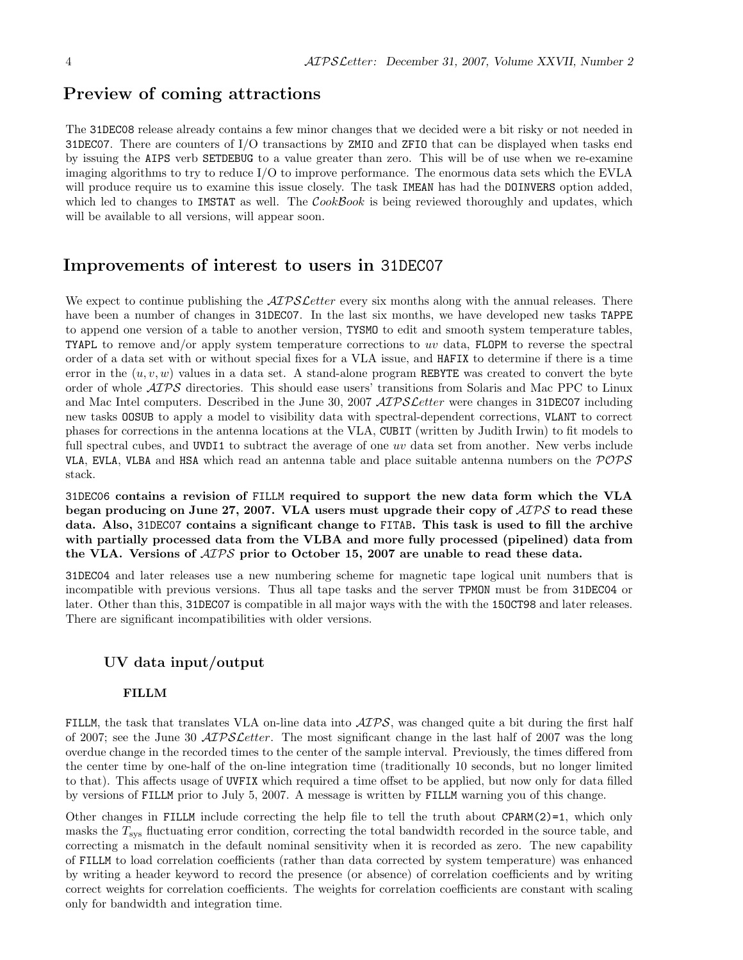# Preview of coming attractions

The 31DEC08 release already contains a few minor changes that we decided were a bit risky or not needed in 31DEC07. There are counters of I/O transactions by ZMIO and ZFIO that can be displayed when tasks end by issuing the AIPS verb SETDEBUG to a value greater than zero. This will be of use when we re-examine imaging algorithms to try to reduce I/O to improve performance. The enormous data sets which the EVLA will produce require us to examine this issue closely. The task IMEAN has had the DOINVERS option added, which led to changes to IMSTAT as well. The  $\mathcal{C}ookBook$  is being reviewed thoroughly and updates, which will be available to all versions, will appear soon.

# Improvements of interest to users in 31DEC07

We expect to continue publishing the  $ATPSLetter$  every six months along with the annual releases. There have been a number of changes in 31DEC07. In the last six months, we have developed new tasks TAPPE to append one version of a table to another version, TYSMO to edit and smooth system temperature tables, TYAPL to remove and/or apply system temperature corrections to uv data, FLOPM to reverse the spectral order of a data set with or without special fixes for a VLA issue, and HAFIX to determine if there is a time error in the  $(u, v, w)$  values in a data set. A stand-alone program REBYTE was created to convert the byte order of whole AIPS directories. This should ease users' transitions from Solaris and Mac PPC to Linux and Mac Intel computers. Described in the June 30, 2007 AIPS Letter were changes in 31DEC07 including new tasks OOSUB to apply a model to visibility data with spectral-dependent corrections, VLANT to correct phases for corrections in the antenna locations at the VLA, CUBIT (written by Judith Irwin) to fit models to full spectral cubes, and UVDI1 to subtract the average of one uv data set from another. New verbs include VLA, EVLA, VLBA and HSA which read an antenna table and place suitable antenna numbers on the POPS stack.

31DEC06 contains a revision of FILLM required to support the new data form which the VLA began producing on June 27, 2007. VLA users must upgrade their copy of  $\mathcal{AIPS}$  to read these data. Also, 31DEC07 contains a significant change to FITAB. This task is used to fill the archive with partially processed data from the VLBA and more fully processed (pipelined) data from the VLA. Versions of AIPS prior to October 15, 2007 are unable to read these data.

31DEC04 and later releases use a new numbering scheme for magnetic tape logical unit numbers that is incompatible with previous versions. Thus all tape tasks and the server TPMON must be from 31DEC04 or later. Other than this, 31DEC07 is compatible in all major ways with the with the 15OCT98 and later releases. There are significant incompatibilities with older versions.

## UV data input/output

### FILLM

FILLM, the task that translates VLA on-line data into  $\mathcal{AIPS}$ , was changed quite a bit during the first half of 2007; see the June 30  $\mathcal{A} \mathcal{I} \mathcal{P} \mathcal{S} \mathcal{L} \mathcal{E}$  test. The most significant change in the last half of 2007 was the long overdue change in the recorded times to the center of the sample interval. Previously, the times differed from the center time by one-half of the on-line integration time (traditionally 10 seconds, but no longer limited to that). This affects usage of UVFIX which required a time offset to be applied, but now only for data filled by versions of FILLM prior to July 5, 2007. A message is written by FILLM warning you of this change.

Other changes in FILLM include correcting the help file to tell the truth about CPARM(2)=1, which only masks the  $T_{\text{sys}}$  fluctuating error condition, correcting the total bandwidth recorded in the source table, and correcting a mismatch in the default nominal sensitivity when it is recorded as zero. The new capability of FILLM to load correlation coefficients (rather than data corrected by system temperature) was enhanced by writing a header keyword to record the presence (or absence) of correlation coefficients and by writing correct weights for correlation coefficients. The weights for correlation coefficients are constant with scaling only for bandwidth and integration time.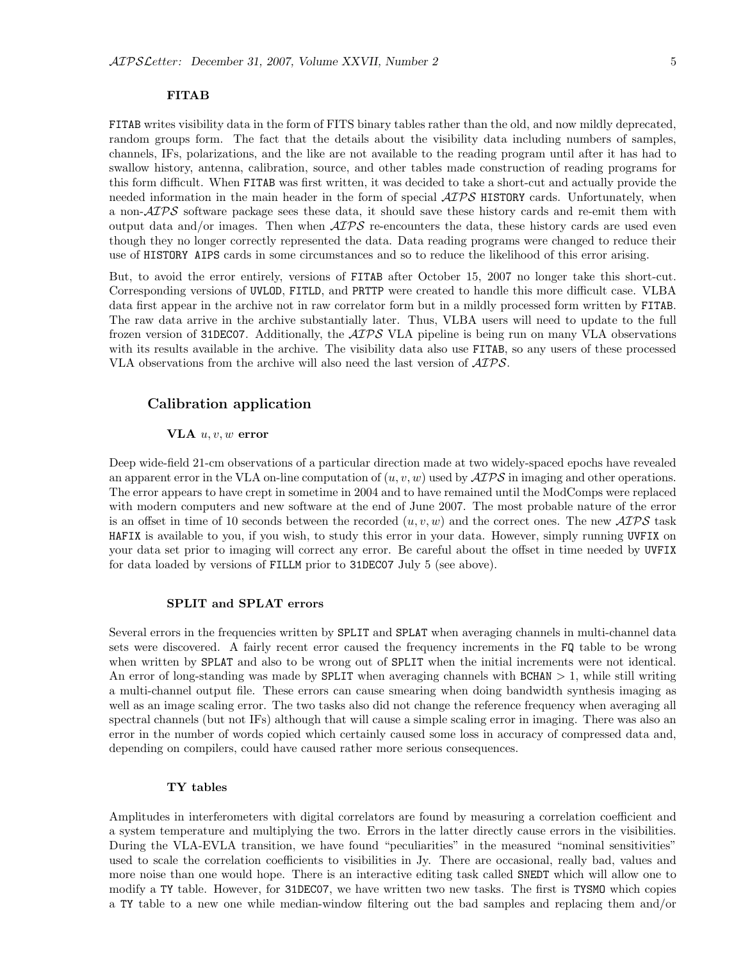#### FITAB

FITAB writes visibility data in the form of FITS binary tables rather than the old, and now mildly deprecated, random groups form. The fact that the details about the visibility data including numbers of samples, channels, IFs, polarizations, and the like are not available to the reading program until after it has had to swallow history, antenna, calibration, source, and other tables made construction of reading programs for this form difficult. When FITAB was first written, it was decided to take a short-cut and actually provide the needed information in the main header in the form of special  $\mathcal{AIPS}$  HISTORY cards. Unfortunately, when a non- $\mathcal{A} \mathcal{I} \mathcal{P} \mathcal{S}$  software package sees these data, it should save these history cards and re-emit them with output data and/or images. Then when  $\mathcal{AIPS}$  re-encounters the data, these history cards are used even though they no longer correctly represented the data. Data reading programs were changed to reduce their use of HISTORY AIPS cards in some circumstances and so to reduce the likelihood of this error arising.

But, to avoid the error entirely, versions of FITAB after October 15, 2007 no longer take this short-cut. Corresponding versions of UVLOD, FITLD, and PRTTP were created to handle this more difficult case. VLBA data first appear in the archive not in raw correlator form but in a mildly processed form written by FITAB. The raw data arrive in the archive substantially later. Thus, VLBA users will need to update to the full frozen version of 31DEC07. Additionally, the  $\mathcal{AIPS}$  VLA pipeline is being run on many VLA observations with its results available in the archive. The visibility data also use **FITAB**, so any users of these processed VLA observations from the archive will also need the last version of  $\mathcal{AIPS}$ .

## Calibration application

#### VLA  $u, v, w$  error

Deep wide-field 21-cm observations of a particular direction made at two widely-spaced epochs have revealed an apparent error in the VLA on-line computation of  $(u, v, w)$  used by  $\mathcal{ATPS}$  in imaging and other operations. The error appears to have crept in sometime in 2004 and to have remained until the ModComps were replaced with modern computers and new software at the end of June 2007. The most probable nature of the error is an offset in time of 10 seconds between the recorded  $(u, v, w)$  and the correct ones. The new  $\mathcal{AIPS}$  task HAFIX is available to you, if you wish, to study this error in your data. However, simply running UVFIX on your data set prior to imaging will correct any error. Be careful about the offset in time needed by UVFIX for data loaded by versions of FILLM prior to 31DEC07 July 5 (see above).

#### SPLIT and SPLAT errors

Several errors in the frequencies written by SPLIT and SPLAT when averaging channels in multi-channel data sets were discovered. A fairly recent error caused the frequency increments in the FQ table to be wrong when written by **SPLAT** and also to be wrong out of **SPLIT** when the initial increments were not identical. An error of long-standing was made by SPLIT when averaging channels with BCHAN > 1, while still writing a multi-channel output file. These errors can cause smearing when doing bandwidth synthesis imaging as well as an image scaling error. The two tasks also did not change the reference frequency when averaging all spectral channels (but not IFs) although that will cause a simple scaling error in imaging. There was also an error in the number of words copied which certainly caused some loss in accuracy of compressed data and, depending on compilers, could have caused rather more serious consequences.

#### TY tables

Amplitudes in interferometers with digital correlators are found by measuring a correlation coefficient and a system temperature and multiplying the two. Errors in the latter directly cause errors in the visibilities. During the VLA-EVLA transition, we have found "peculiarities" in the measured "nominal sensitivities" used to scale the correlation coefficients to visibilities in Jy. There are occasional, really bad, values and more noise than one would hope. There is an interactive editing task called SNEDT which will allow one to modify a TY table. However, for 31DEC07, we have written two new tasks. The first is TYSMO which copies a TY table to a new one while median-window filtering out the bad samples and replacing them and/or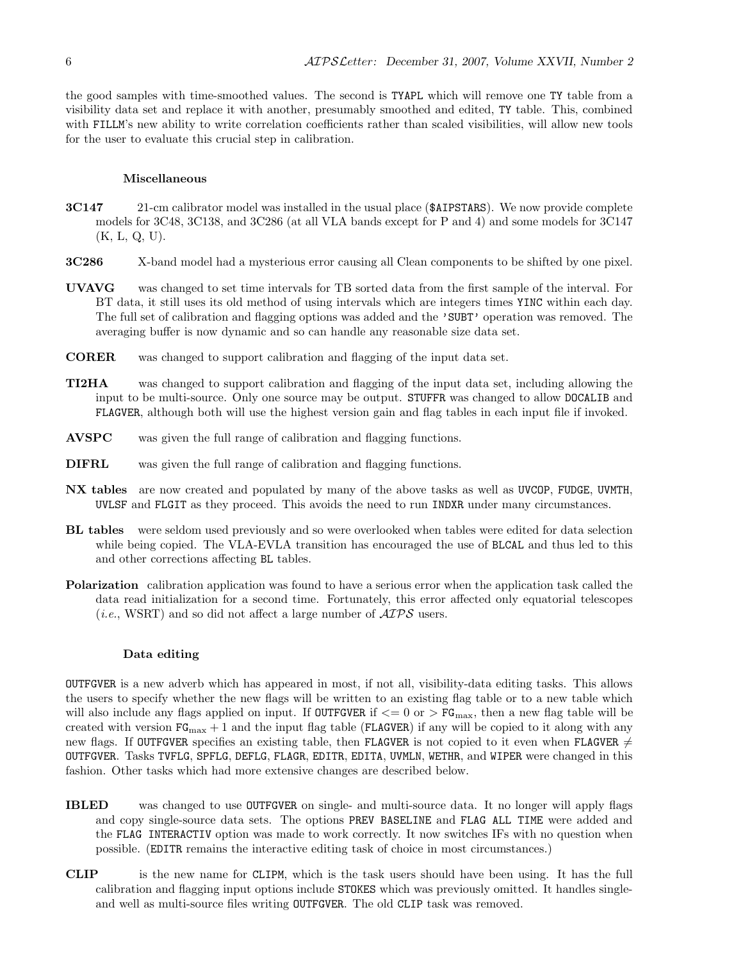the good samples with time-smoothed values. The second is TYAPL which will remove one TY table from a visibility data set and replace it with another, presumably smoothed and edited, TY table. This, combined with FILLM's new ability to write correlation coefficients rather than scaled visibilities, will allow new tools for the user to evaluate this crucial step in calibration.

#### Miscellaneous

- 3C147 21-cm calibrator model was installed in the usual place (\$AIPSTARS). We now provide complete models for 3C48, 3C138, and 3C286 (at all VLA bands except for P and 4) and some models for 3C147 (K, L, Q, U).
- 3C286 X-band model had a mysterious error causing all Clean components to be shifted by one pixel.
- UVAVG was changed to set time intervals for TB sorted data from the first sample of the interval. For BT data, it still uses its old method of using intervals which are integers times YINC within each day. The full set of calibration and flagging options was added and the 'SUBT' operation was removed. The averaging buffer is now dynamic and so can handle any reasonable size data set.
- CORER was changed to support calibration and flagging of the input data set.
- TI2HA was changed to support calibration and flagging of the input data set, including allowing the input to be multi-source. Only one source may be output. STUFFR was changed to allow DOCALIB and FLAGVER, although both will use the highest version gain and flag tables in each input file if invoked.
- AVSPC was given the full range of calibration and flagging functions.
- DIFRL was given the full range of calibration and flagging functions.
- NX tables are now created and populated by many of the above tasks as well as UVCOP, FUDGE, UVMTH, UVLSF and FLGIT as they proceed. This avoids the need to run INDXR under many circumstances.
- BL tables were seldom used previously and so were overlooked when tables were edited for data selection while being copied. The VLA-EVLA transition has encouraged the use of BLCAL and thus led to this and other corrections affecting BL tables.
- Polarization calibration application was found to have a serious error when the application task called the data read initialization for a second time. Fortunately, this error affected only equatorial telescopes (*i.e.*, WSRT) and so did not affect a large number of  $\mathcal{AIPS}$  users.

#### Data editing

OUTFGVER is a new adverb which has appeared in most, if not all, visibility-data editing tasks. This allows the users to specify whether the new flags will be written to an existing flag table or to a new table which will also include any flags applied on input. If OUTFGVER if  $\leq$  0 or  $>$  FG<sub>max</sub>, then a new flag table will be created with version  $FG_{\text{max}} + 1$  and the input flag table (FLAGVER) if any will be copied to it along with any new flags. If OUTFGVER specifies an existing table, then FLAGVER is not copied to it even when FLAGVER  $\neq$ OUTFGVER. Tasks TVFLG, SPFLG, DEFLG, FLAGR, EDITR, EDITA, UVMLN, WETHR, and WIPER were changed in this fashion. Other tasks which had more extensive changes are described below.

- IBLED was changed to use OUTFGVER on single- and multi-source data. It no longer will apply flags and copy single-source data sets. The options PREV BASELINE and FLAG ALL TIME were added and the FLAG INTERACTIV option was made to work correctly. It now switches IFs with no question when possible. (EDITR remains the interactive editing task of choice in most circumstances.)
- CLIP is the new name for CLIPM, which is the task users should have been using. It has the full calibration and flagging input options include STOKES which was previously omitted. It handles singleand well as multi-source files writing OUTFGVER. The old CLIP task was removed.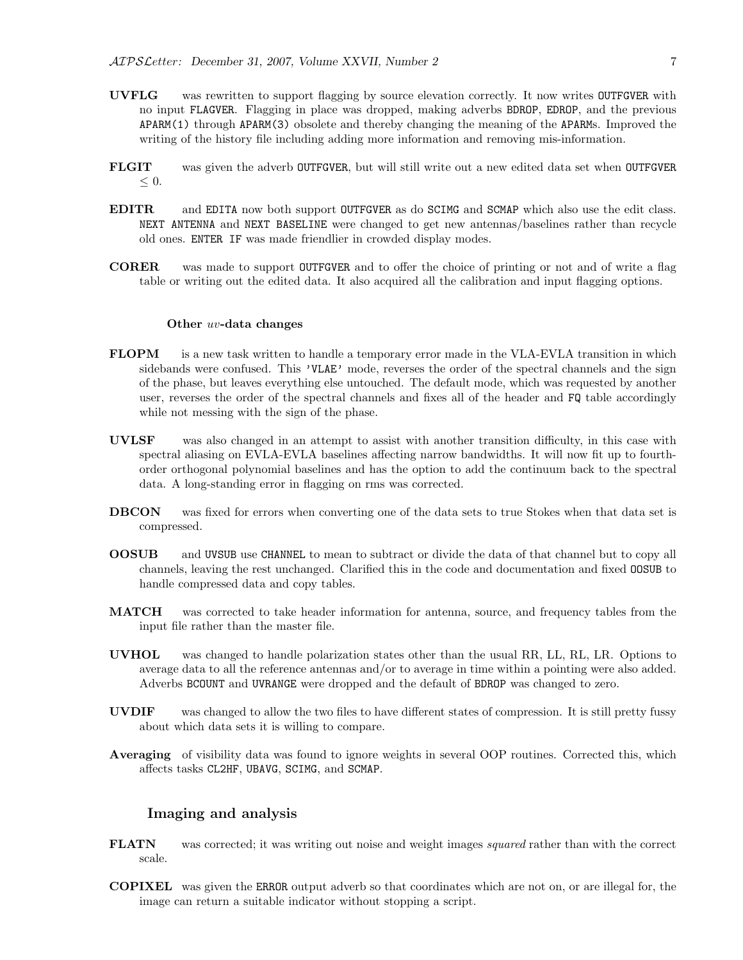- UVFLG was rewritten to support flagging by source elevation correctly. It now writes OUTFGVER with no input FLAGVER. Flagging in place was dropped, making adverbs BDROP, EDROP, and the previous APARM(1) through APARM(3) obsolete and thereby changing the meaning of the APARMs. Improved the writing of the history file including adding more information and removing mis-information.
- FLGIT was given the adverb OUTFGVER, but will still write out a new edited data set when OUTFGVER  $\leq 0$ .
- EDITR and EDITA now both support OUTFGVER as do SCIMG and SCMAP which also use the edit class. NEXT ANTENNA and NEXT BASELINE were changed to get new antennas/baselines rather than recycle old ones. ENTER IF was made friendlier in crowded display modes.
- CORER was made to support OUTFGVER and to offer the choice of printing or not and of write a flag table or writing out the edited data. It also acquired all the calibration and input flagging options.

#### Other uv-data changes

- FLOPM is a new task written to handle a temporary error made in the VLA-EVLA transition in which sidebands were confused. This 'VLAE' mode, reverses the order of the spectral channels and the sign of the phase, but leaves everything else untouched. The default mode, which was requested by another user, reverses the order of the spectral channels and fixes all of the header and FQ table accordingly while not messing with the sign of the phase.
- UVLSF was also changed in an attempt to assist with another transition difficulty, in this case with spectral aliasing on EVLA-EVLA baselines affecting narrow bandwidths. It will now fit up to fourthorder orthogonal polynomial baselines and has the option to add the continuum back to the spectral data. A long-standing error in flagging on rms was corrected.
- DBCON was fixed for errors when converting one of the data sets to true Stokes when that data set is compressed.
- OOSUB and UVSUB use CHANNEL to mean to subtract or divide the data of that channel but to copy all channels, leaving the rest unchanged. Clarified this in the code and documentation and fixed OOSUB to handle compressed data and copy tables.
- MATCH was corrected to take header information for antenna, source, and frequency tables from the input file rather than the master file.
- UVHOL was changed to handle polarization states other than the usual RR, LL, RL, LR. Options to average data to all the reference antennas and/or to average in time within a pointing were also added. Adverbs BCOUNT and UVRANGE were dropped and the default of BDROP was changed to zero.
- UVDIF was changed to allow the two files to have different states of compression. It is still pretty fussy about which data sets it is willing to compare.
- Averaging of visibility data was found to ignore weights in several OOP routines. Corrected this, which affects tasks CL2HF, UBAVG, SCIMG, and SCMAP.

## Imaging and analysis

- **FLATN** was corrected; it was writing out noise and weight images *squared* rather than with the correct scale.
- COPIXEL was given the ERROR output adverb so that coordinates which are not on, or are illegal for, the image can return a suitable indicator without stopping a script.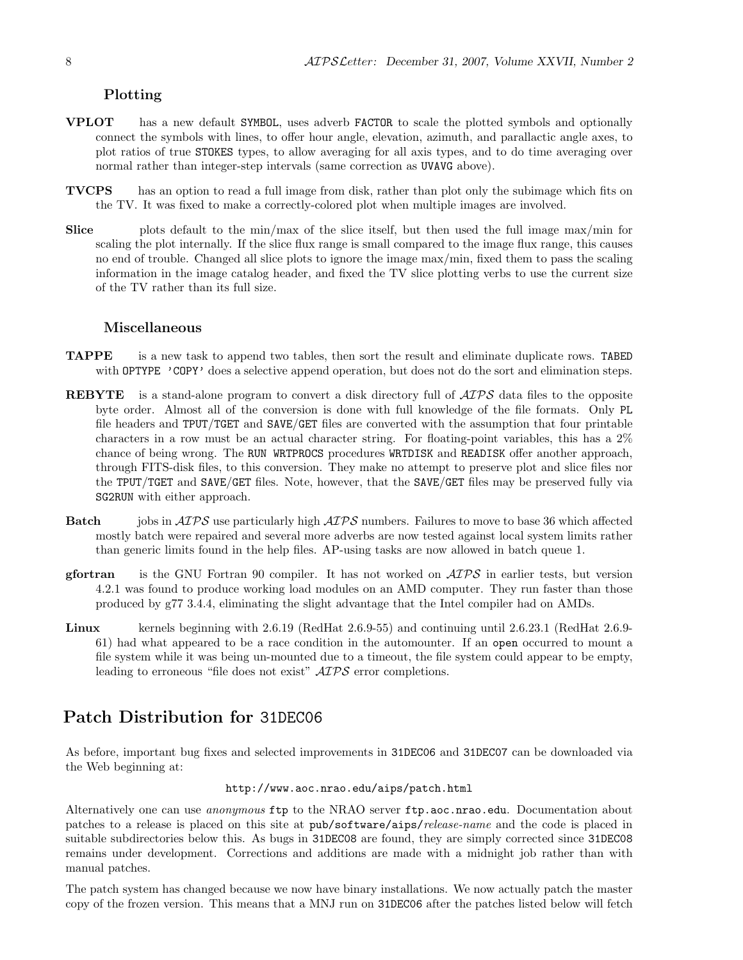## Plotting

- VPLOT has a new default SYMBOL, uses adverb FACTOR to scale the plotted symbols and optionally connect the symbols with lines, to offer hour angle, elevation, azimuth, and parallactic angle axes, to plot ratios of true STOKES types, to allow averaging for all axis types, and to do time averaging over normal rather than integer-step intervals (same correction as UVAVG above).
- TVCPS has an option to read a full image from disk, rather than plot only the subimage which fits on the TV. It was fixed to make a correctly-colored plot when multiple images are involved.
- Slice plots default to the min/max of the slice itself, but then used the full image max/min for scaling the plot internally. If the slice flux range is small compared to the image flux range, this causes no end of trouble. Changed all slice plots to ignore the image max/min, fixed them to pass the scaling information in the image catalog header, and fixed the TV slice plotting verbs to use the current size of the TV rather than its full size.

## Miscellaneous

- TAPPE is a new task to append two tables, then sort the result and eliminate duplicate rows. TABED with **OPTYPE** 'COPY' does a selective append operation, but does not do the sort and elimination steps.
- REBYTE is a stand-alone program to convert a disk directory full of  $\mathcal{AIPS}$  data files to the opposite byte order. Almost all of the conversion is done with full knowledge of the file formats. Only PL file headers and TPUT/TGET and SAVE/GET files are converted with the assumption that four printable characters in a row must be an actual character string. For floating-point variables, this has a 2% chance of being wrong. The RUN WRTPROCS procedures WRTDISK and READISK offer another approach, through FITS-disk files, to this conversion. They make no attempt to preserve plot and slice files nor the TPUT/TGET and SAVE/GET files. Note, however, that the SAVE/GET files may be preserved fully via SG2RUN with either approach.
- **Batch** jobs in  $\mathcal{A} \mathcal{I} \mathcal{P} \mathcal{S}$  use particularly high  $\mathcal{A} \mathcal{I} \mathcal{P} \mathcal{S}$  numbers. Failures to move to base 36 which affected mostly batch were repaired and several more adverbs are now tested against local system limits rather than generic limits found in the help files. AP-using tasks are now allowed in batch queue 1.
- **gfortran** is the GNU Fortran 90 compiler. It has not worked on  $\mathcal{AIPS}$  in earlier tests, but version 4.2.1 was found to produce working load modules on an AMD computer. They run faster than those produced by g77 3.4.4, eliminating the slight advantage that the Intel compiler had on AMDs.
- Linux kernels beginning with 2.6.19 (RedHat 2.6.9-55) and continuing until 2.6.23.1 (RedHat 2.6.9- 61) had what appeared to be a race condition in the automounter. If an open occurred to mount a file system while it was being un-mounted due to a timeout, the file system could appear to be empty, leading to erroneous "file does not exist"  $\mathcal{AIPS}$  error completions.

# Patch Distribution for 31DEC06

As before, important bug fixes and selected improvements in 31DEC06 and 31DEC07 can be downloaded via the Web beginning at:

### http://www.aoc.nrao.edu/aips/patch.html

Alternatively one can use *anonymous* ftp to the NRAO server ftp.aoc.nrao.edu. Documentation about patches to a release is placed on this site at pub/software/aips/release-name and the code is placed in suitable subdirectories below this. As bugs in 31DEC08 are found, they are simply corrected since 31DEC08 remains under development. Corrections and additions are made with a midnight job rather than with manual patches.

The patch system has changed because we now have binary installations. We now actually patch the master copy of the frozen version. This means that a MNJ run on 31DEC06 after the patches listed below will fetch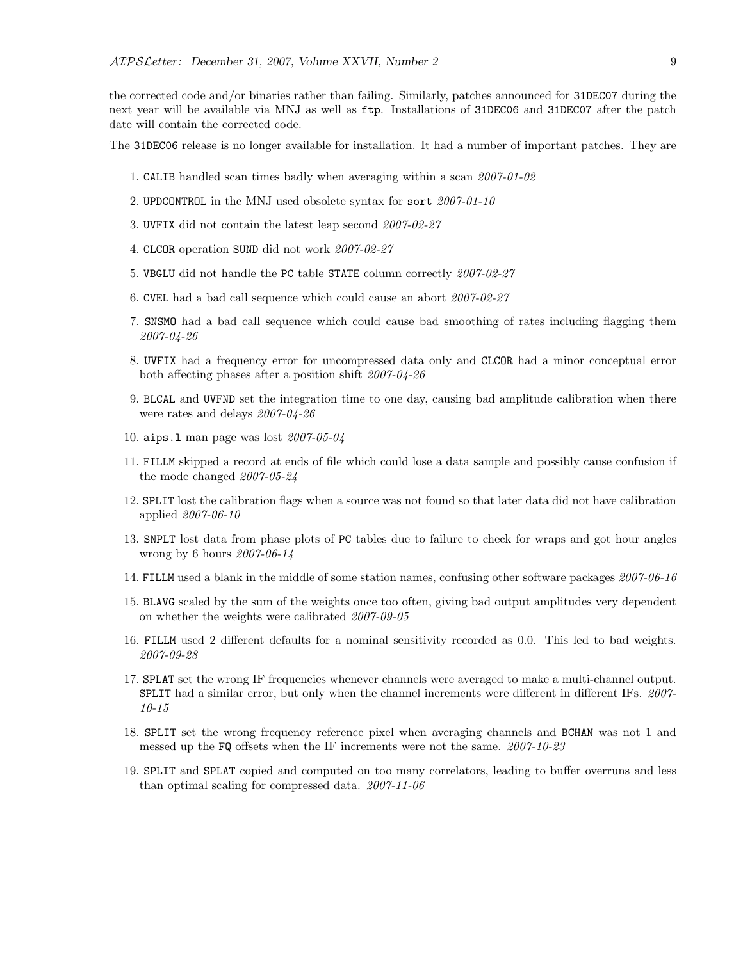the corrected code and/or binaries rather than failing. Similarly, patches announced for 31DEC07 during the next year will be available via MNJ as well as ftp. Installations of 31DEC06 and 31DEC07 after the patch date will contain the corrected code.

The 31DEC06 release is no longer available for installation. It had a number of important patches. They are

- 1. CALIB handled scan times badly when averaging within a scan 2007-01-02
- 2. UPDCONTROL in the MNJ used obsolete syntax for sort 2007-01-10
- 3. UVFIX did not contain the latest leap second 2007-02-27
- 4. CLCOR operation SUND did not work 2007-02-27
- 5. VBGLU did not handle the PC table STATE column correctly 2007-02-27
- 6. CVEL had a bad call sequence which could cause an abort 2007-02-27
- 7. SNSMO had a bad call sequence which could cause bad smoothing of rates including flagging them 2007-04-26
- 8. UVFIX had a frequency error for uncompressed data only and CLCOR had a minor conceptual error both affecting phases after a position shift 2007-04-26
- 9. BLCAL and UVFND set the integration time to one day, causing bad amplitude calibration when there were rates and delays 2007-04-26
- 10. aips.l man page was lost 2007-05-04
- 11. FILLM skipped a record at ends of file which could lose a data sample and possibly cause confusion if the mode changed 2007-05-24
- 12. SPLIT lost the calibration flags when a source was not found so that later data did not have calibration applied 2007-06-10
- 13. SNPLT lost data from phase plots of PC tables due to failure to check for wraps and got hour angles wrong by 6 hours 2007-06-14
- 14. FILLM used a blank in the middle of some station names, confusing other software packages 2007-06-16
- 15. BLAVG scaled by the sum of the weights once too often, giving bad output amplitudes very dependent on whether the weights were calibrated 2007-09-05
- 16. FILLM used 2 different defaults for a nominal sensitivity recorded as 0.0. This led to bad weights. 2007-09-28
- 17. SPLAT set the wrong IF frequencies whenever channels were averaged to make a multi-channel output. SPLIT had a similar error, but only when the channel increments were different in different IFs. 2007- 10-15
- 18. SPLIT set the wrong frequency reference pixel when averaging channels and BCHAN was not 1 and messed up the FQ offsets when the IF increments were not the same. 2007-10-23
- 19. SPLIT and SPLAT copied and computed on too many correlators, leading to buffer overruns and less than optimal scaling for compressed data. 2007-11-06